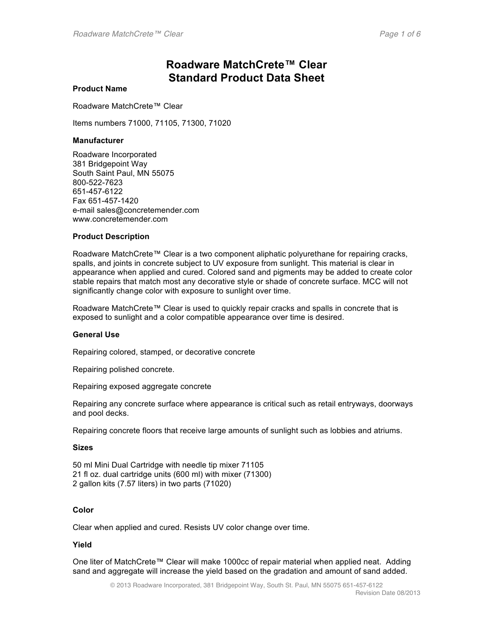# **Roadware MatchCrete™ Clear Standard Product Data Sheet**

#### **Product Name**

Roadware MatchCrete™ Clear

Items numbers 71000, 71105, 71300, 71020

#### **Manufacturer**

Roadware Incorporated 381 Bridgepoint Way South Saint Paul, MN 55075 800-522-7623 651-457-6122 Fax 651-457-1420 e-mail sales@concretemender.com www.concretemender.com

#### **Product Description**

Roadware MatchCrete™ Clear is a two component aliphatic polyurethane for repairing cracks, spalls, and joints in concrete subject to UV exposure from sunlight. This material is clear in appearance when applied and cured. Colored sand and pigments may be added to create color stable repairs that match most any decorative style or shade of concrete surface. MCC will not significantly change color with exposure to sunlight over time.

Roadware MatchCrete™ Clear is used to quickly repair cracks and spalls in concrete that is exposed to sunlight and a color compatible appearance over time is desired.

#### **General Use**

Repairing colored, stamped, or decorative concrete

Repairing polished concrete.

Repairing exposed aggregate concrete

Repairing any concrete surface where appearance is critical such as retail entryways, doorways and pool decks.

Repairing concrete floors that receive large amounts of sunlight such as lobbies and atriums.

#### **Sizes**

50 ml Mini Dual Cartridge with needle tip mixer 71105 21 fl oz. dual cartridge units (600 ml) with mixer (71300) 2 gallon kits (7.57 liters) in two parts (71020)

#### **Color**

Clear when applied and cured. Resists UV color change over time.

#### **Yield**

One liter of MatchCrete™ Clear will make 1000cc of repair material when applied neat. Adding sand and aggregate will increase the yield based on the gradation and amount of sand added.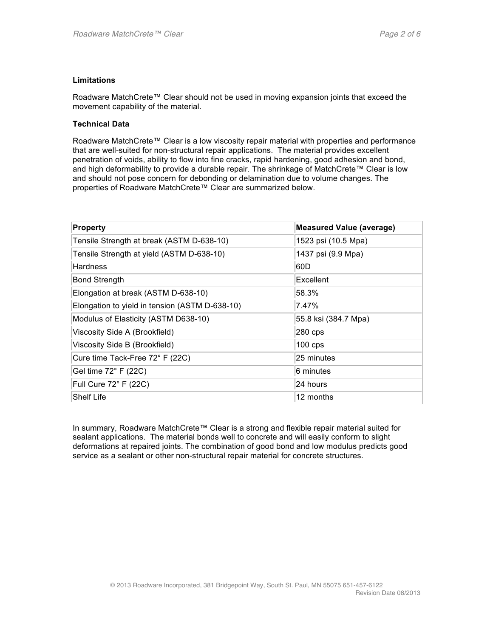#### **Limitations**

Roadware MatchCrete™ Clear should not be used in moving expansion joints that exceed the movement capability of the material.

#### **Technical Data**

Roadware MatchCrete™ Clear is a low viscosity repair material with properties and performance that are well-suited for non-structural repair applications. The material provides excellent penetration of voids, ability to flow into fine cracks, rapid hardening, good adhesion and bond, and high deformability to provide a durable repair. The shrinkage of MatchCrete™ Clear is low and should not pose concern for debonding or delamination due to volume changes. The properties of Roadware MatchCrete™ Clear are summarized below.

| Property                                       | <b>Measured Value (average)</b> |
|------------------------------------------------|---------------------------------|
| Tensile Strength at break (ASTM D-638-10)      | 1523 psi (10.5 Mpa)             |
| Tensile Strength at yield (ASTM D-638-10)      | 1437 psi (9.9 Mpa)              |
| <b>Hardness</b>                                | 60D                             |
| <b>Bond Strength</b>                           | Excellent                       |
| Elongation at break (ASTM D-638-10)            | 58.3%                           |
| Elongation to yield in tension (ASTM D-638-10) | 7.47%                           |
| Modulus of Elasticity (ASTM D638-10)           | 55.8 ksi (384.7 Mpa)            |
| Viscosity Side A (Brookfield)                  | 280 cps                         |
| Viscosity Side B (Brookfield)                  | $100$ cps                       |
| Cure time Tack-Free 72° F (22C)                | 25 minutes                      |
| Gel time 72° F (22C)                           | 6 minutes                       |
| Full Cure 72° F (22C)                          | 24 hours                        |
| Shelf Life                                     | 12 months                       |

In summary, Roadware MatchCrete™ Clear is a strong and flexible repair material suited for sealant applications. The material bonds well to concrete and will easily conform to slight deformations at repaired joints. The combination of good bond and low modulus predicts good service as a sealant or other non-structural repair material for concrete structures.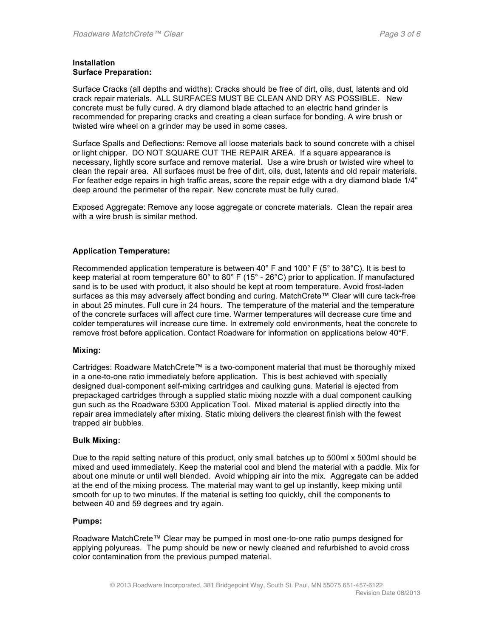#### **Installation Surface Preparation:**

Surface Cracks (all depths and widths): Cracks should be free of dirt, oils, dust, latents and old crack repair materials. ALL SURFACES MUST BE CLEAN AND DRY AS POSSIBLE. New concrete must be fully cured. A dry diamond blade attached to an electric hand grinder is recommended for preparing cracks and creating a clean surface for bonding. A wire brush or twisted wire wheel on a grinder may be used in some cases.

Surface Spalls and Deflections: Remove all loose materials back to sound concrete with a chisel or light chipper. DO NOT SQUARE CUT THE REPAIR AREA. If a square appearance is necessary, lightly score surface and remove material. Use a wire brush or twisted wire wheel to clean the repair area. All surfaces must be free of dirt, oils, dust, latents and old repair materials. For feather edge repairs in high traffic areas, score the repair edge with a dry diamond blade 1/4" deep around the perimeter of the repair. New concrete must be fully cured.

Exposed Aggregate: Remove any loose aggregate or concrete materials. Clean the repair area with a wire brush is similar method.

#### **Application Temperature:**

Recommended application temperature is between 40° F and 100° F (5° to 38°C). It is best to keep material at room temperature 60° to 80° F (15° - 26°C) prior to application. If manufactured sand is to be used with product, it also should be kept at room temperature. Avoid frost-laden surfaces as this may adversely affect bonding and curing. MatchCrete™ Clear will cure tack-free in about 25 minutes. Full cure in 24 hours. The temperature of the material and the temperature of the concrete surfaces will affect cure time. Warmer temperatures will decrease cure time and colder temperatures will increase cure time. In extremely cold environments, heat the concrete to remove frost before application. Contact Roadware for information on applications below 40°F.

#### **Mixing:**

Cartridges: Roadware MatchCrete™ is a two-component material that must be thoroughly mixed in a one-to-one ratio immediately before application. This is best achieved with specially designed dual-component self-mixing cartridges and caulking guns. Material is ejected from prepackaged cartridges through a supplied static mixing nozzle with a dual component caulking gun such as the Roadware 5300 Application Tool. Mixed material is applied directly into the repair area immediately after mixing. Static mixing delivers the clearest finish with the fewest trapped air bubbles.

#### **Bulk Mixing:**

Due to the rapid setting nature of this product, only small batches up to 500ml x 500ml should be mixed and used immediately. Keep the material cool and blend the material with a paddle. Mix for about one minute or until well blended. Avoid whipping air into the mix. Aggregate can be added at the end of the mixing process. The material may want to gel up instantly, keep mixing until smooth for up to two minutes. If the material is setting too quickly, chill the components to between 40 and 59 degrees and try again.

#### **Pumps:**

Roadware MatchCrete™ Clear may be pumped in most one-to-one ratio pumps designed for applying polyureas. The pump should be new or newly cleaned and refurbished to avoid cross color contamination from the previous pumped material.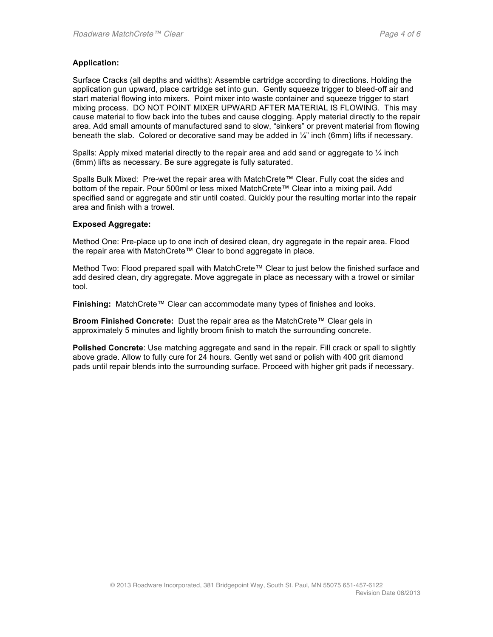#### **Application:**

Surface Cracks (all depths and widths): Assemble cartridge according to directions. Holding the application gun upward, place cartridge set into gun. Gently squeeze trigger to bleed-off air and start material flowing into mixers. Point mixer into waste container and squeeze trigger to start mixing process. DO NOT POINT MIXER UPWARD AFTER MATERIAL IS FLOWING. This may cause material to flow back into the tubes and cause clogging. Apply material directly to the repair area. Add small amounts of manufactured sand to slow, "sinkers" or prevent material from flowing beneath the slab. Colored or decorative sand may be added in  $\frac{1}{4}$ " inch (6mm) lifts if necessary.

Spalls: Apply mixed material directly to the repair area and add sand or aggregate to  $\frac{1}{4}$  inch (6mm) lifts as necessary. Be sure aggregate is fully saturated.

Spalls Bulk Mixed: Pre-wet the repair area with MatchCrete™ Clear. Fully coat the sides and bottom of the repair. Pour 500ml or less mixed MatchCrete™ Clear into a mixing pail. Add specified sand or aggregate and stir until coated. Quickly pour the resulting mortar into the repair area and finish with a trowel.

#### **Exposed Aggregate:**

Method One: Pre-place up to one inch of desired clean, dry aggregate in the repair area. Flood the repair area with MatchCrete™ Clear to bond aggregate in place.

Method Two: Flood prepared spall with MatchCrete™ Clear to just below the finished surface and add desired clean, dry aggregate. Move aggregate in place as necessary with a trowel or similar tool.

**Finishing:** MatchCrete™ Clear can accommodate many types of finishes and looks.

**Broom Finished Concrete:** Dust the repair area as the MatchCrete™ Clear gels in approximately 5 minutes and lightly broom finish to match the surrounding concrete.

**Polished Concrete**: Use matching aggregate and sand in the repair. Fill crack or spall to slightly above grade. Allow to fully cure for 24 hours. Gently wet sand or polish with 400 grit diamond pads until repair blends into the surrounding surface. Proceed with higher grit pads if necessary.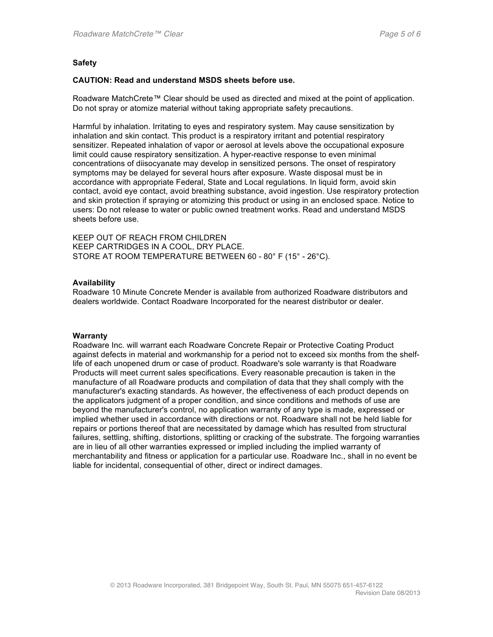#### **Safety**

#### **CAUTION: Read and understand MSDS sheets before use.**

Roadware MatchCrete™ Clear should be used as directed and mixed at the point of application. Do not spray or atomize material without taking appropriate safety precautions.

Harmful by inhalation. Irritating to eyes and respiratory system. May cause sensitization by inhalation and skin contact. This product is a respiratory irritant and potential respiratory sensitizer. Repeated inhalation of vapor or aerosol at levels above the occupational exposure limit could cause respiratory sensitization. A hyper-reactive response to even minimal concentrations of diisocyanate may develop in sensitized persons. The onset of respiratory symptoms may be delayed for several hours after exposure. Waste disposal must be in accordance with appropriate Federal, State and Local regulations. In liquid form, avoid skin contact, avoid eye contact, avoid breathing substance, avoid ingestion. Use respiratory protection and skin protection if spraying or atomizing this product or using in an enclosed space. Notice to users: Do not release to water or public owned treatment works. Read and understand MSDS sheets before use.

KEEP OUT OF REACH FROM CHILDREN KEEP CARTRIDGES IN A COOL, DRY PLACE. STORE AT ROOM TEMPERATURE BETWEEN 60 - 80° F (15° - 26°C).

#### **Availability**

Roadware 10 Minute Concrete Mender is available from authorized Roadware distributors and dealers worldwide. Contact Roadware Incorporated for the nearest distributor or dealer.

#### **Warranty**

Roadware Inc. will warrant each Roadware Concrete Repair or Protective Coating Product against defects in material and workmanship for a period not to exceed six months from the shelflife of each unopened drum or case of product. Roadware's sole warranty is that Roadware Products will meet current sales specifications. Every reasonable precaution is taken in the manufacture of all Roadware products and compilation of data that they shall comply with the manufacturer's exacting standards. As however, the effectiveness of each product depends on the applicators judgment of a proper condition, and since conditions and methods of use are beyond the manufacturer's control, no application warranty of any type is made, expressed or implied whether used in accordance with directions or not. Roadware shall not be held liable for repairs or portions thereof that are necessitated by damage which has resulted from structural failures, settling, shifting, distortions, splitting or cracking of the substrate. The forgoing warranties are in lieu of all other warranties expressed or implied including the implied warranty of merchantability and fitness or application for a particular use. Roadware Inc., shall in no event be liable for incidental, consequential of other, direct or indirect damages.